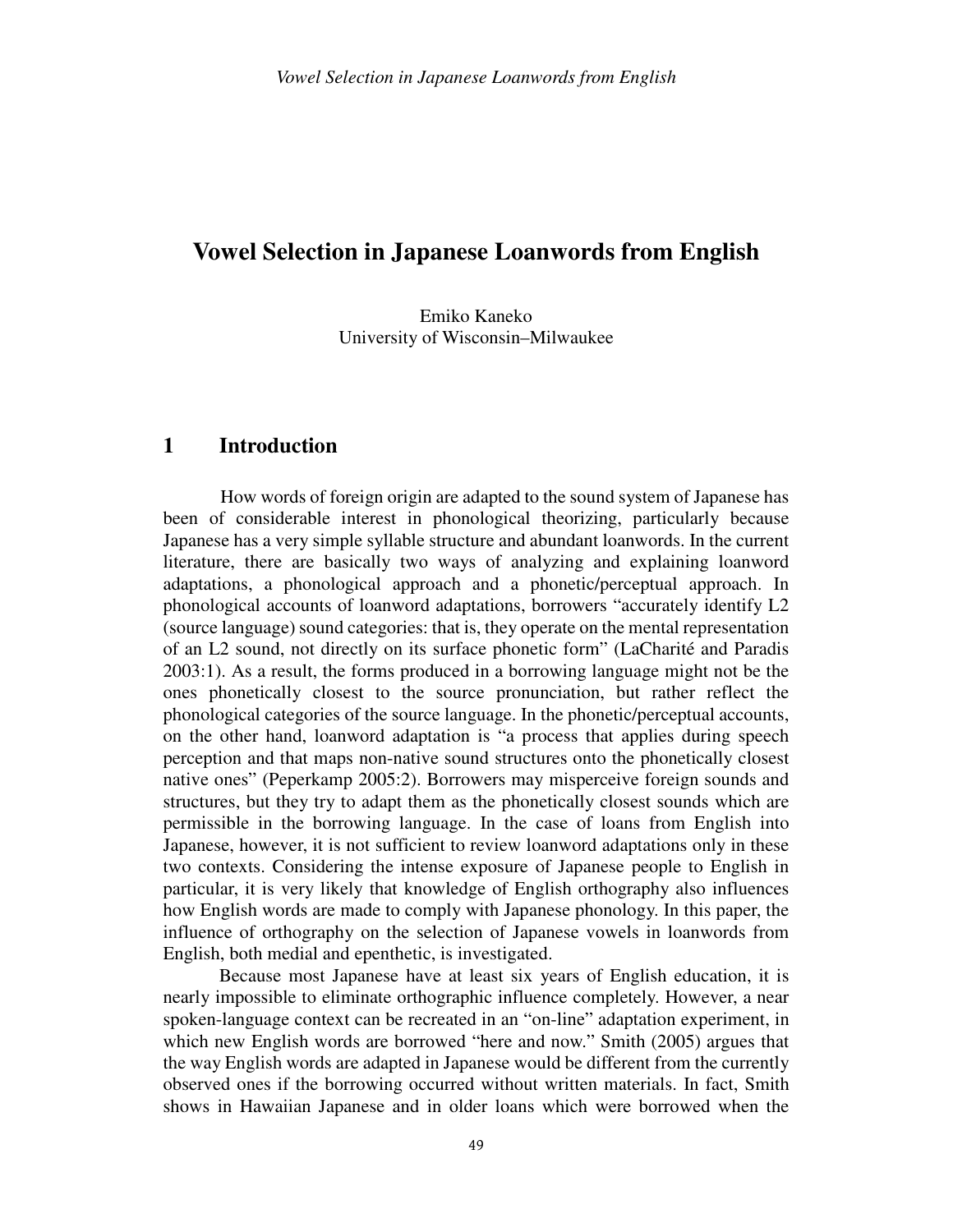## **Vowel Selection in Japanese Loanwords from English**

Emiko Kaneko University of Wisconsin–Milwaukee

### **1 Introduction**

How words of foreign origin are adapted to the sound system of Japanese has been of considerable interest in phonological theorizing, particularly because Japanese has a very simple syllable structure and abundant loanwords. In the current literature, there are basically two ways of analyzing and explaining loanword adaptations, a phonological approach and a phonetic/perceptual approach. In phonological accounts of loanword adaptations, borrowers "accurately identify L2 (source language) sound categories: that is, they operate on the mental representation of an L2 sound, not directly on its surface phonetic form" (LaCharité and Paradis 2003:1). As a result, the forms produced in a borrowing language might not be the ones phonetically closest to the source pronunciation, but rather reflect the phonological categories of the source language. In the phonetic/perceptual accounts, on the other hand, loanword adaptation is "a process that applies during speech perception and that maps non-native sound structures onto the phonetically closest native ones" (Peperkamp 2005:2). Borrowers may misperceive foreign sounds and structures, but they try to adapt them as the phonetically closest sounds which are permissible in the borrowing language. In the case of loans from English into Japanese, however, it is not sufficient to review loanword adaptations only in these two contexts. Considering the intense exposure of Japanese people to English in particular, it is very likely that knowledge of English orthography also influences how English words are made to comply with Japanese phonology. In this paper, the influence of orthography on the selection of Japanese vowels in loanwords from English, both medial and epenthetic, is investigated.

 Because most Japanese have at least six years of English education, it is nearly impossible to eliminate orthographic influence completely. However, a near spoken-language context can be recreated in an "on-line" adaptation experiment, in which new English words are borrowed "here and now." Smith (2005) argues that the way English words are adapted in Japanese would be different from the currently observed ones if the borrowing occurred without written materials. In fact, Smith shows in Hawaiian Japanese and in older loans which were borrowed when the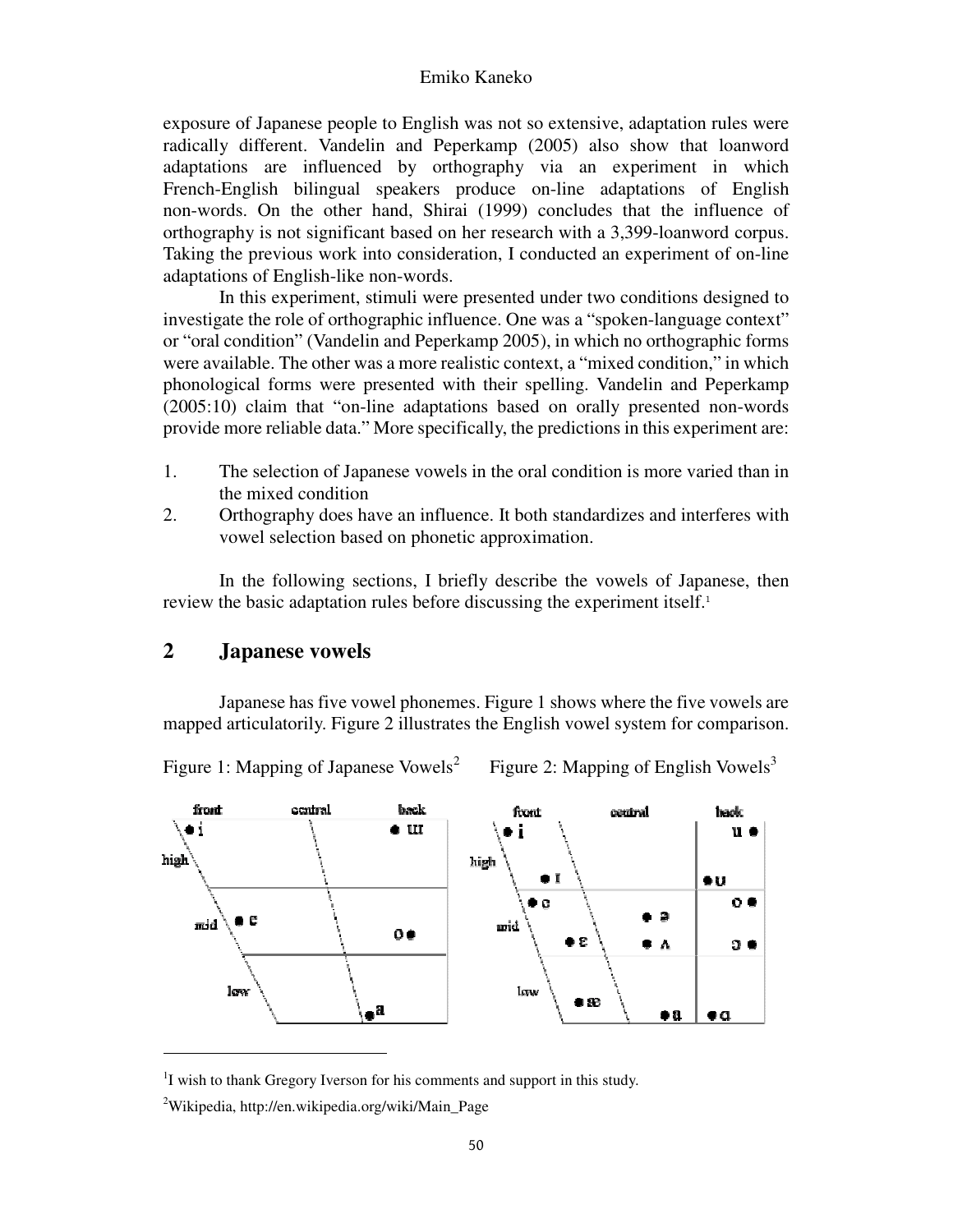exposure of Japanese people to English was not so extensive, adaptation rules were radically different. Vandelin and Peperkamp (2005) also show that loanword adaptations are influenced by orthography via an experiment in which French-English bilingual speakers produce on-line adaptations of English non-words. On the other hand, Shirai (1999) concludes that the influence of orthography is not significant based on her research with a 3,399-loanword corpus. Taking the previous work into consideration, I conducted an experiment of on-line adaptations of English-like non-words.

 In this experiment, stimuli were presented under two conditions designed to investigate the role of orthographic influence. One was a "spoken-language context" or "oral condition" (Vandelin and Peperkamp 2005), in which no orthographic forms were available. The other was a more realistic context, a "mixed condition," in which phonological forms were presented with their spelling. Vandelin and Peperkamp (2005:10) claim that "on-line adaptations based on orally presented non-words provide more reliable data." More specifically, the predictions in this experiment are:

- 1. The selection of Japanese vowels in the oral condition is more varied than in the mixed condition
- 2. Orthography does have an influence. It both standardizes and interferes with vowel selection based on phonetic approximation.

 In the following sections, I briefly describe the vowels of Japanese, then review the basic adaptation rules before discussing the experiment itself.<sup>1</sup>

### **2 Japanese vowels**

 Japanese has five vowel phonemes. Figure 1 shows where the five vowels are mapped articulatorily. Figure 2 illustrates the English vowel system for comparison.



Figure 1: Mapping of Japanese Vowels<sup>2</sup>

Figure 2: Mapping of English Vowels<sup>3</sup>

<sup>&</sup>lt;sup>1</sup>I wish to thank Gregory Iverson for his comments and support in this study.

<sup>&</sup>lt;sup>2</sup>Wikipedia, http://en.wikipedia.org/wiki/Main\_Page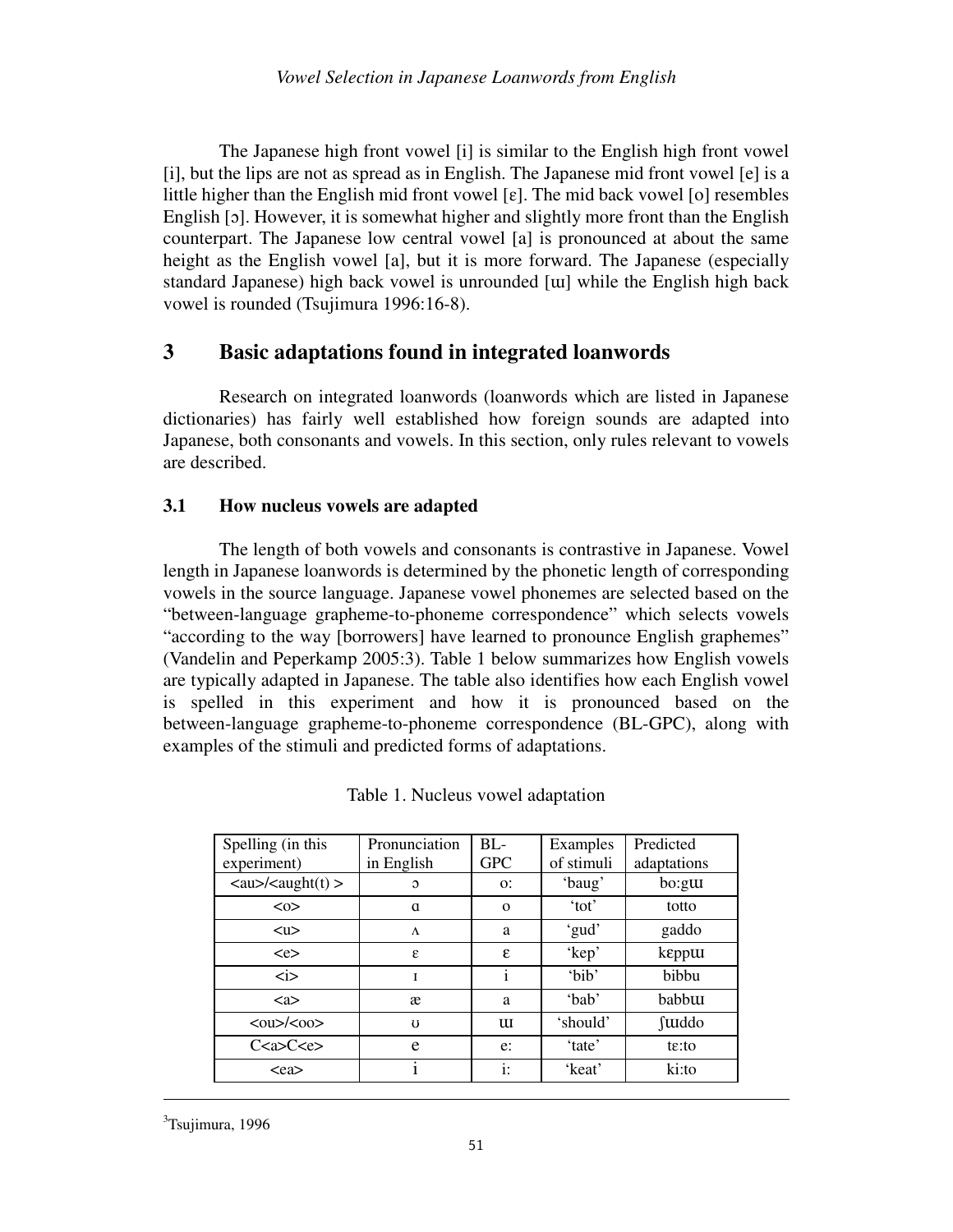The Japanese high front vowel [i] is similar to the English high front vowel [i], but the lips are not as spread as in English. The Japanese mid front vowel [e] is a little higher than the English mid front vowel  $[\varepsilon]$ . The mid back vowel  $[\circ]$  resembles English [ɔ]. However, it is somewhat higher and slightly more front than the English counterpart. The Japanese low central vowel [a] is pronounced at about the same height as the English vowel [a], but it is more forward. The Japanese (especially standard Japanese) high back vowel is unrounded [ɯ] while the English high back vowel is rounded (Tsujimura 1996:16-8).

## **3 Basic adaptations found in integrated loanwords**

 Research on integrated loanwords (loanwords which are listed in Japanese dictionaries) has fairly well established how foreign sounds are adapted into Japanese, both consonants and vowels. In this section, only rules relevant to vowels are described.

### **3.1 How nucleus vowels are adapted**

 The length of both vowels and consonants is contrastive in Japanese. Vowel length in Japanese loanwords is determined by the phonetic length of corresponding vowels in the source language. Japanese vowel phonemes are selected based on the "between-language grapheme-to-phoneme correspondence" which selects vowels "according to the way [borrowers] have learned to pronounce English graphemes" (Vandelin and Peperkamp 2005:3). Table 1 below summarizes how English vowels are typically adapted in Japanese. The table also identifies how each English vowel is spelled in this experiment and how it is pronounced based on the between-language grapheme-to-phoneme correspondence (BL-GPC), along with examples of the stimuli and predicted forms of adaptations.

| Spelling (in this<br>experiment) | Pronunciation<br>in English | $BL-$<br><b>GPC</b> | Examples<br>of stimuli | Predicted<br>adaptations |
|----------------------------------|-----------------------------|---------------------|------------------------|--------------------------|
|                                  | $\Omega$                    | O:                  | 'baug'                 | bo:gu                    |
| $<\!\!\infty$                    | a                           | $\mathbf{O}$        | 'tot'                  | totto                    |
| $u$                              | $\Lambda$                   | a                   | 'gud'                  | gaddo                    |
| $\langle e \rangle$              | ε                           | ε                   | 'kep'                  | keppur                   |
| $\dot{\text{}}$                  | I                           |                     | 'bib'                  | bibbu                    |
| $\langle$ a $\rangle$            | æ                           | a                   | 'bab'                  | babbuu                   |
| $00/00$                          | $\mathbf{U}$                | u                   | 'should'               | <b>fuldo</b>             |
| C <a>C <e></e></a>               | e                           | e:                  | 'tate'                 | $t\epsilon$ : to         |
| $<$ ea $>$                       |                             | $\mathbf{i}$ :      | 'keat'                 | ki:to                    |

Table 1. Nucleus vowel adaptation

 $3$ Tsujimura, 1996

l,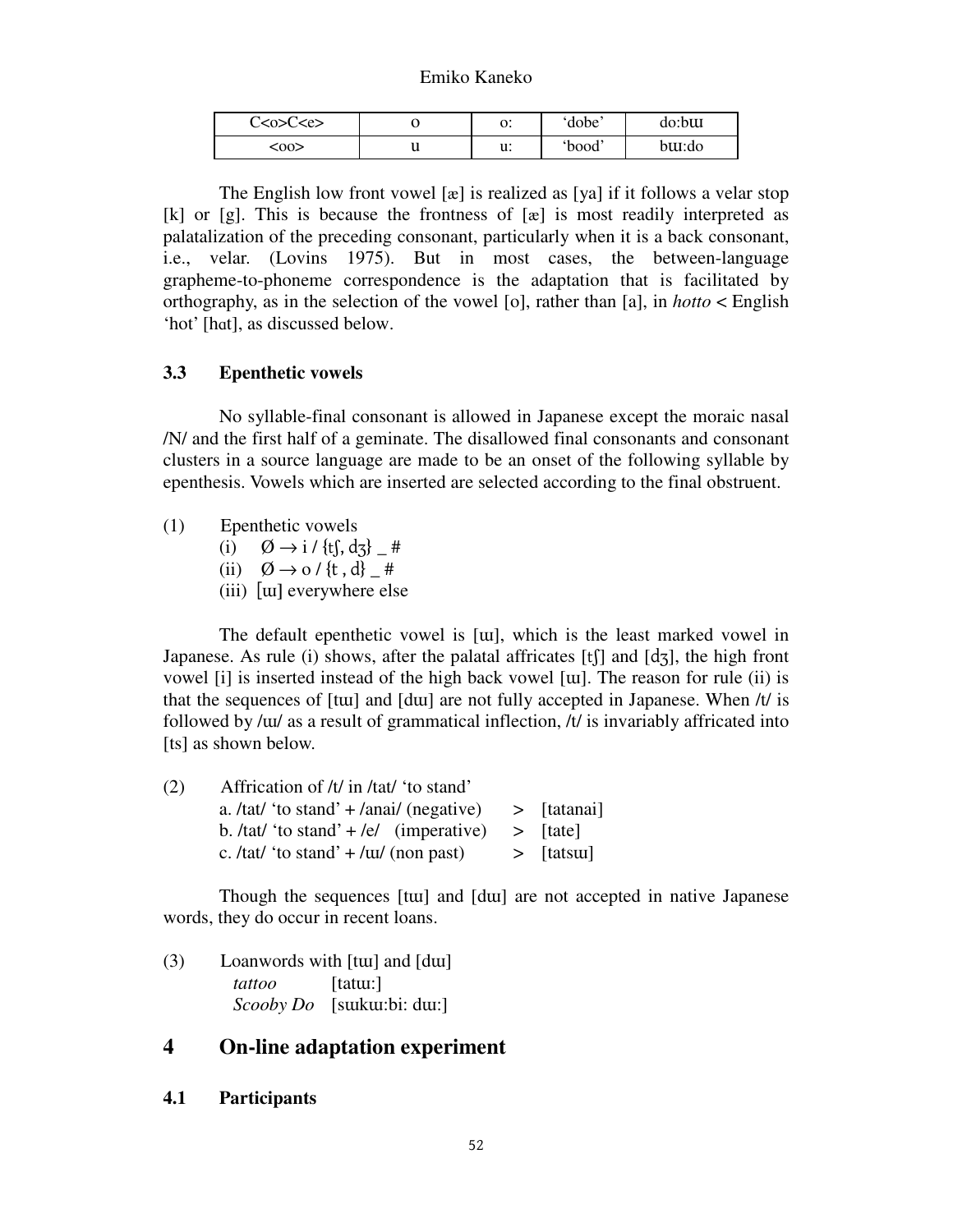| C <o>C<e></e></o> |   | υ.       | dobe   | do:bttt |
|-------------------|---|----------|--------|---------|
| <00>              | u | n.<br>u. | 'bood' | buu:do  |

The English low front vowel  $[\alpha]$  is realized as  $[ya]$  if it follows a velar stop [k] or [g]. This is because the frontness of  $[x]$  is most readily interpreted as palatalization of the preceding consonant, particularly when it is a back consonant, i.e., velar. (Lovins 1975). But in most cases, the between-language grapheme-to-phoneme correspondence is the adaptation that is facilitated by orthography, as in the selection of the vowel [o], rather than [a], in *hotto* < English 'hot' [hɑt], as discussed below.

#### **3.3 Epenthetic vowels**

 No syllable-final consonant is allowed in Japanese except the moraic nasal /N/ and the first half of a geminate. The disallowed final consonants and consonant clusters in a source language are made to be an onset of the following syllable by epenthesis. Vowels which are inserted are selected according to the final obstruent.

- (1) Epenthetic vowels
	- (i) Ø → i / {tʃ, dʒ} \_ #
	- (ii)  $\varnothing \rightarrow o$  / {t, d} #
	- (iii) [ɯ] everywhere else

 The default epenthetic vowel is [ɯ], which is the least marked vowel in Japanese. As rule (i) shows, after the palatal affricates [tʃ] and [dʒ], the high front vowel [i] is inserted instead of the high back vowel [ɯ]. The reason for rule (ii) is that the sequences of [tɯ] and [dɯ] are not fully accepted in Japanese. When /t/ is followed by /ɯ/ as a result of grammatical inflection, /t/ is invariably affricated into [ts] as shown below.

| (2) | Affrication of /t/ in /tat/ 'to stand'                     |              |
|-----|------------------------------------------------------------|--------------|
|     | a. /tat/ 'to stand' + /anai/ (negative) $\qquad$ [tatanai] |              |
|     | b. /tat/ 'to stand' + /e/ (imperative) > [tate]            |              |
|     | c. /tat/ 'to stand' $+$ / $\pi$ / (non past)               | $>$ [tatsur] |

 Though the sequences [tɯ] and [dɯ] are not accepted in native Japanese words, they do occur in recent loans.

(3) Loanwords with [tɯ] and [dɯ] *tattoo* [tatɯ:] *Scooby Do* [sɯkɯ:bi: dɯ:]

### **4 On-line adaptation experiment**

**4.1 Participants**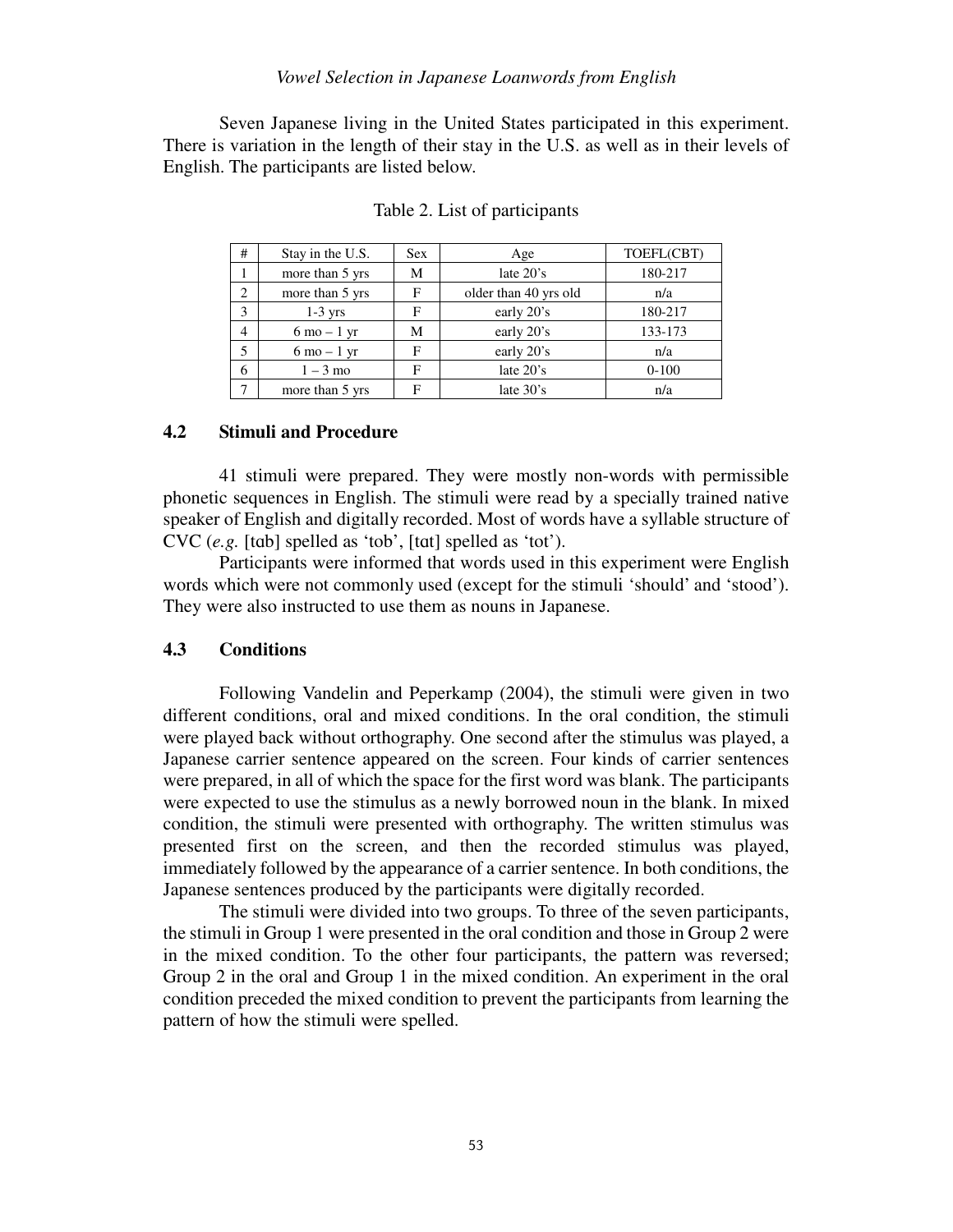#### *Vowel Selection in Japanese Loanwords from English*

 Seven Japanese living in the United States participated in this experiment. There is variation in the length of their stay in the U.S. as well as in their levels of English. The participants are listed below.

| #             | Stay in the U.S.              | <b>Sex</b> | Age                   | TOEFL(CBT) |
|---------------|-------------------------------|------------|-----------------------|------------|
|               | more than 5 yrs               | М          | late $20's$           | 180-217    |
| $\mathcal{D}$ | more than 5 yrs               | F          | older than 40 yrs old | n/a        |
| 3             | $1-3$ yrs                     | F          | early 20's            | 180-217    |
| 4             | $6 \text{ mo} - 1 \text{ yr}$ | М          | early 20's            | 133-173    |
|               | $6 \text{ mo} - 1 \text{ yr}$ | F          | early 20's            | n/a        |
| 6             | $1 - 3$ mo                    | F          | late 20's             | $0 - 100$  |
| −             | more than 5 yrs               | F          | late $30's$           | n/a        |

Table 2. List of participants

#### **4.2 Stimuli and Procedure**

 41 stimuli were prepared. They were mostly non-words with permissible phonetic sequences in English. The stimuli were read by a specially trained native speaker of English and digitally recorded. Most of words have a syllable structure of CVC (*e.g.* [tɑb] spelled as 'tob', [tɑt] spelled as 'tot').

 Participants were informed that words used in this experiment were English words which were not commonly used (except for the stimuli 'should' and 'stood'). They were also instructed to use them as nouns in Japanese.

#### **4.3 Conditions**

 Following Vandelin and Peperkamp (2004), the stimuli were given in two different conditions, oral and mixed conditions. In the oral condition, the stimuli were played back without orthography. One second after the stimulus was played, a Japanese carrier sentence appeared on the screen. Four kinds of carrier sentences were prepared, in all of which the space for the first word was blank. The participants were expected to use the stimulus as a newly borrowed noun in the blank. In mixed condition, the stimuli were presented with orthography. The written stimulus was presented first on the screen, and then the recorded stimulus was played, immediately followed by the appearance of a carrier sentence. In both conditions, the Japanese sentences produced by the participants were digitally recorded.

 The stimuli were divided into two groups. To three of the seven participants, the stimuli in Group 1 were presented in the oral condition and those in Group 2 were in the mixed condition. To the other four participants, the pattern was reversed; Group 2 in the oral and Group 1 in the mixed condition. An experiment in the oral condition preceded the mixed condition to prevent the participants from learning the pattern of how the stimuli were spelled.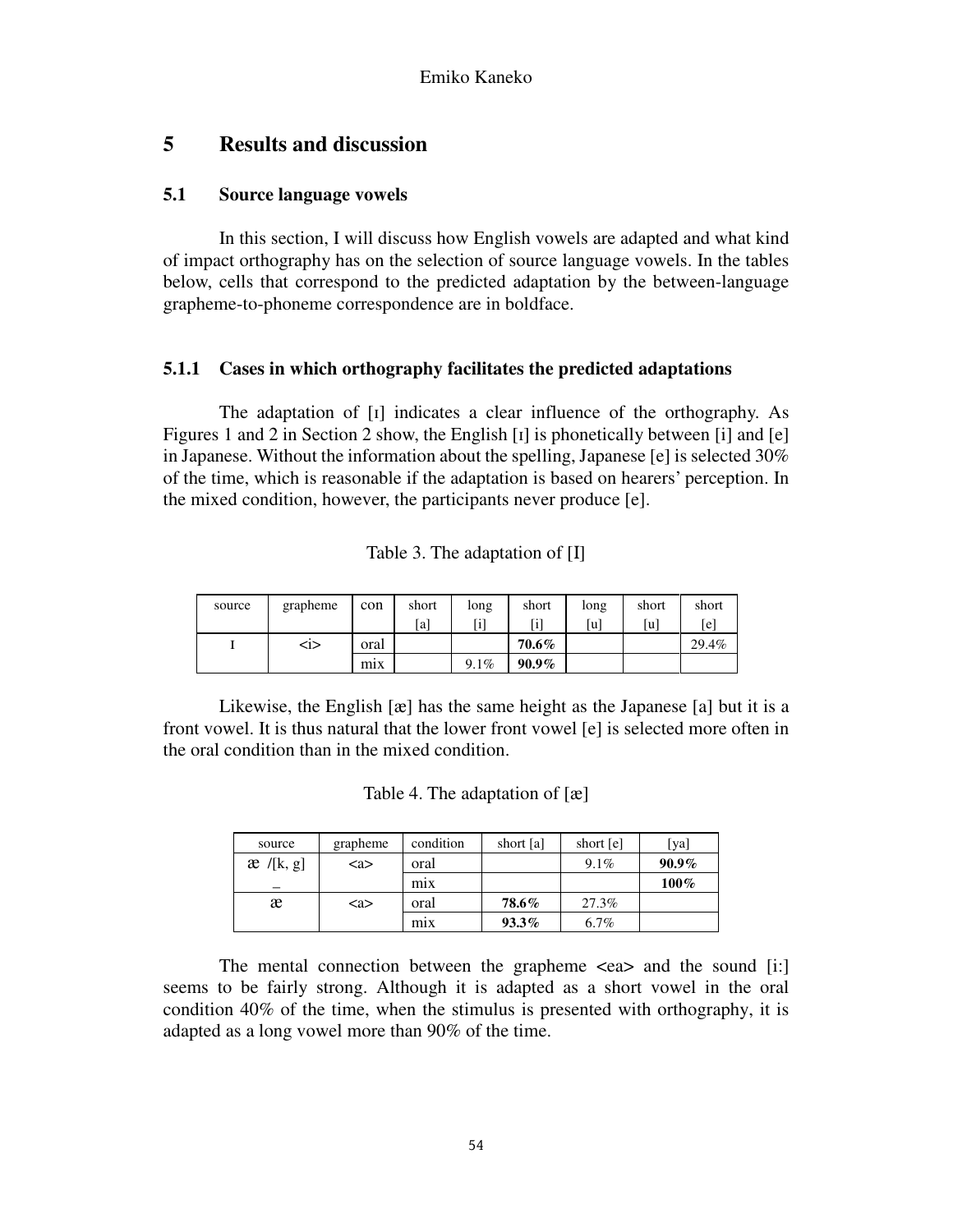## **5 Results and discussion**

### **5.1 Source language vowels**

 In this section, I will discuss how English vowels are adapted and what kind of impact orthography has on the selection of source language vowels. In the tables below, cells that correspond to the predicted adaptation by the between-language grapheme-to-phoneme correspondence are in boldface.

### **5.1.1 Cases in which orthography facilitates the predicted adaptations**

 The adaptation of [ɪ] indicates a clear influence of the orthography. As Figures 1 and 2 in Section 2 show, the English [ɪ] is phonetically between [i] and [e] in Japanese. Without the information about the spelling, Japanese [e] is selected 30% of the time, which is reasonable if the adaptation is based on hearers' perception. In the mixed condition, however, the participants never produce [e].

| source | grapheme | con  | short | long | short    | long | short | short |
|--------|----------|------|-------|------|----------|------|-------|-------|
|        |          |      | [a]   | [i]  |          | [u]  | [u]   | [e]   |
|        | $1$      | oral |       |      | $70.6\%$ |      |       | 29.4% |
|        |          | $mx$ |       | 9.1% | $90.9\%$ |      |       |       |

 Likewise, the English [æ] has the same height as the Japanese [a] but it is a front vowel. It is thus natural that the lower front vowel [e] is selected more often in the oral condition than in the mixed condition.

| source      | grapheme              | condition        | short [a] | short [e] | [ya]     |
|-------------|-----------------------|------------------|-----------|-----------|----------|
| $x$ /[k, g] | $\langle$ a $\rangle$ | oral             |           | 9.1%      | $90.9\%$ |
|             |                       | m <sub>1</sub> x |           |           | 100%     |
| æ           | $\langle$ a $>$       | oral             | 78.6%     | 27.3%     |          |
|             |                       | mix              | $93.3\%$  | 6.7%      |          |

The mental connection between the grapheme  $\langle$ ea $\rangle$  and the sound [i:] seems to be fairly strong. Although it is adapted as a short vowel in the oral condition 40% of the time, when the stimulus is presented with orthography, it is adapted as a long vowel more than 90% of the time.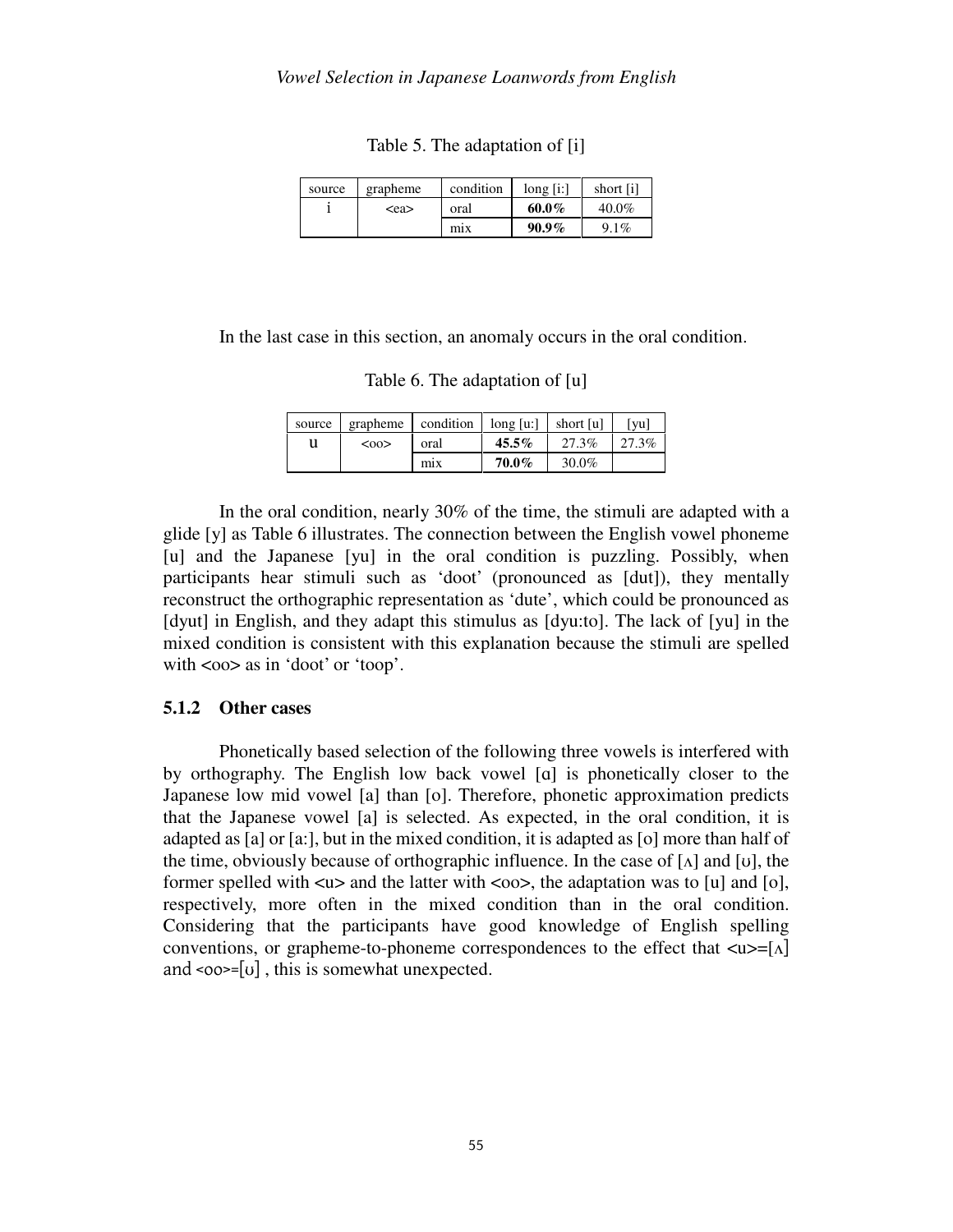Table 5. The adaptation of [i]

| source | grapheme  | condition        | long[i:] | short [i] |
|--------|-----------|------------------|----------|-----------|
|        | <ea></ea> | oral             | $60.0\%$ | 40.0%     |
|        |           | m <sub>1</sub> x | $90.9\%$ | $9.1\%$   |

In the last case in this section, an anomaly occurs in the oral condition.

|  |  | Table 6. The adaptation of [u] |  |  |
|--|--|--------------------------------|--|--|
|--|--|--------------------------------|--|--|

| source | grapheme | condition 1 | long [u:] | short [u] | vu    |
|--------|----------|-------------|-----------|-----------|-------|
| u      | <00      | oral        | $45.5\%$  | 27.3%     | 27.3% |
|        |          | mix         | $70.0\%$  | 30.0%     |       |

 In the oral condition, nearly 30% of the time, the stimuli are adapted with a glide [y] as Table 6 illustrates. The connection between the English vowel phoneme [u] and the Japanese [yu] in the oral condition is puzzling. Possibly, when participants hear stimuli such as 'doot' (pronounced as [dut]), they mentally reconstruct the orthographic representation as 'dute', which could be pronounced as [dyut] in English, and they adapt this stimulus as [dyu:to]. The lack of [yu] in the mixed condition is consistent with this explanation because the stimuli are spelled with  $\langle \cos \theta \rangle$  as in 'doot' or 'toop'.

#### **5.1.2 Other cases**

 Phonetically based selection of the following three vowels is interfered with by orthography. The English low back vowel [ɑ] is phonetically closer to the Japanese low mid vowel [a] than [o]. Therefore, phonetic approximation predicts that the Japanese vowel [a] is selected. As expected, in the oral condition, it is adapted as [a] or [a:], but in the mixed condition, it is adapted as [o] more than half of the time, obviously because of orthographic influence. In the case of  $[\Lambda]$  and  $[\nu]$ , the former spelled with  $\langle u \rangle$  and the latter with  $\langle 0 \rangle$ , the adaptation was to [u] and [o], respectively, more often in the mixed condition than in the oral condition. Considering that the participants have good knowledge of English spelling conventions</u>, or grapheme-to-phoneme correspondences to the effect that  $\langle u \rangle = [\Lambda]$ and  $\leq$  oo $\geq$ =[ $\cup$ ], this is somewhat unexpected.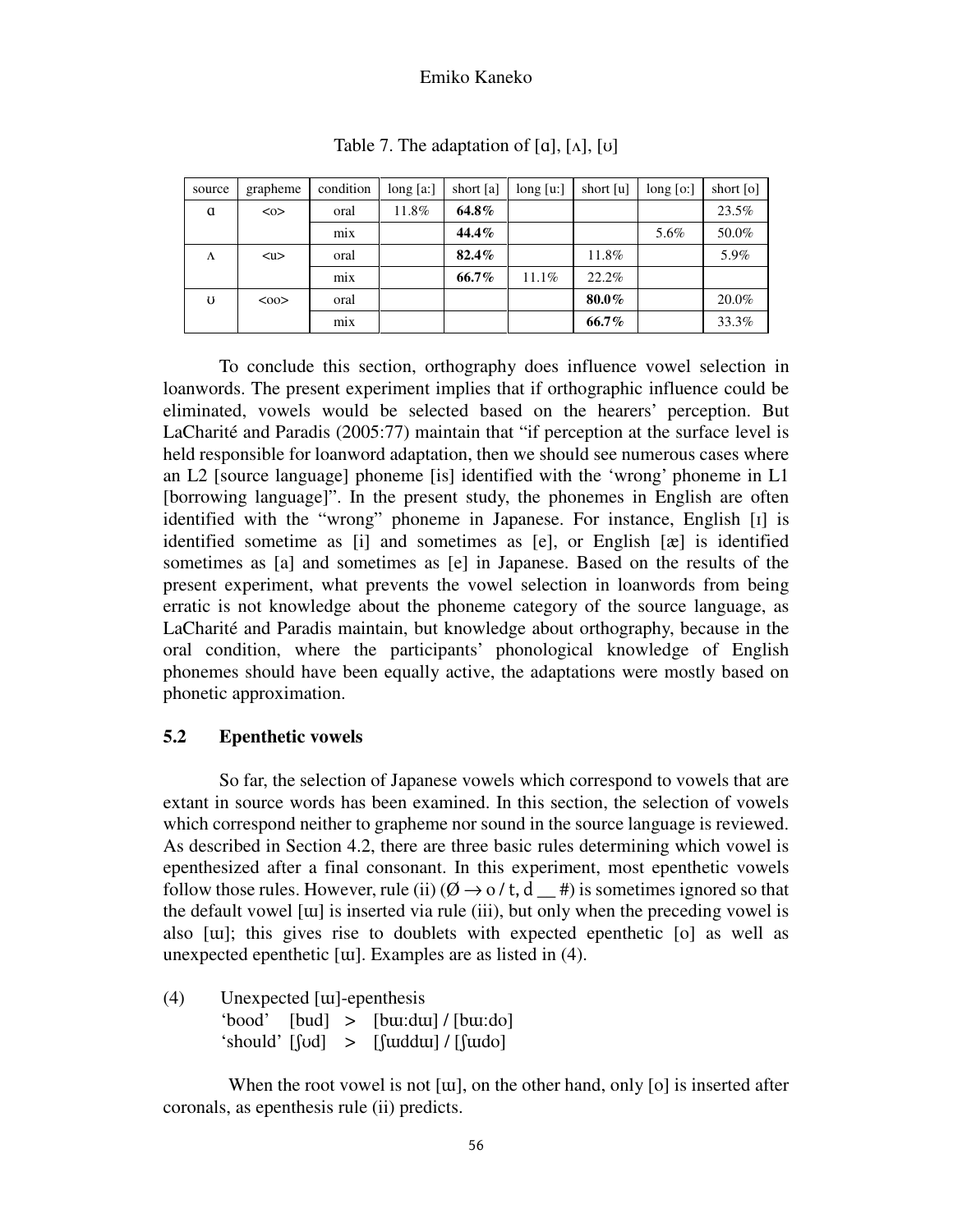| source | grapheme      | condition | long [a:] | short [a] | long [u:] | short [u] | $long$ [o:] | short [o] |
|--------|---------------|-----------|-----------|-----------|-----------|-----------|-------------|-----------|
| a      | $<\!\!\infty$ | oral      | 11.8%     | 64.8%     |           |           |             | 23.5%     |
|        |               | $mx$      |           | 44.4%     |           |           | 5.6%        | 50.0%     |
| Λ      | $u$           | oral      |           | 82.4%     |           | 11.8%     |             | 5.9%      |
|        |               | mix       |           | 66.7%     | 11.1%     | 22.2%     |             |           |
| U      | $00$          | oral      |           |           |           | 80.0%     |             | 20.0%     |
|        |               | mix       |           |           |           | 66.7%     |             | 33.3%     |

Table 7. The adaptation of  $[a]$ ,  $[\Lambda]$ ,  $[v]$ 

 To conclude this section, orthography does influence vowel selection in loanwords. The present experiment implies that if orthographic influence could be eliminated, vowels would be selected based on the hearers' perception. But LaCharité and Paradis (2005:77) maintain that "if perception at the surface level is held responsible for loanword adaptation, then we should see numerous cases where an L2 [source language] phoneme [is] identified with the 'wrong' phoneme in L1 [borrowing language]". In the present study, the phonemes in English are often identified with the "wrong" phoneme in Japanese. For instance, English [ɪ] is identified sometime as [i] and sometimes as [e], or English [æ] is identified sometimes as [a] and sometimes as [e] in Japanese. Based on the results of the present experiment, what prevents the vowel selection in loanwords from being erratic is not knowledge about the phoneme category of the source language, as LaCharité and Paradis maintain, but knowledge about orthography, because in the oral condition, where the participants' phonological knowledge of English phonemes should have been equally active, the adaptations were mostly based on phonetic approximation.

#### **5.2 Epenthetic vowels**

 So far, the selection of Japanese vowels which correspond to vowels that are extant in source words has been examined. In this section, the selection of vowels which correspond neither to grapheme nor sound in the source language is reviewed. As described in Section 4.2, there are three basic rules determining which vowel is epenthesized after a final consonant. In this experiment, most epenthetic vowels follow those rules. However, rule (ii)  $(\emptyset \rightarrow o/t, d$  #) is sometimes ignored so that the default vowel [ɯ] is inserted via rule (iii), but only when the preceding vowel is also [ɯ]; this gives rise to doublets with expected epenthetic [o] as well as unexpected epenthetic [ɯ]. Examples are as listed in (4).

(4) Unexpected [ɯ]-epenthesis 'bood'  $[bud] > [buu:du]/[bu:do]$ 'should'  $[yd] > [yd]$  /  $[yd]$ 

 When the root vowel is not [ɯ], on the other hand, only [o] is inserted after coronals, as epenthesis rule (ii) predicts.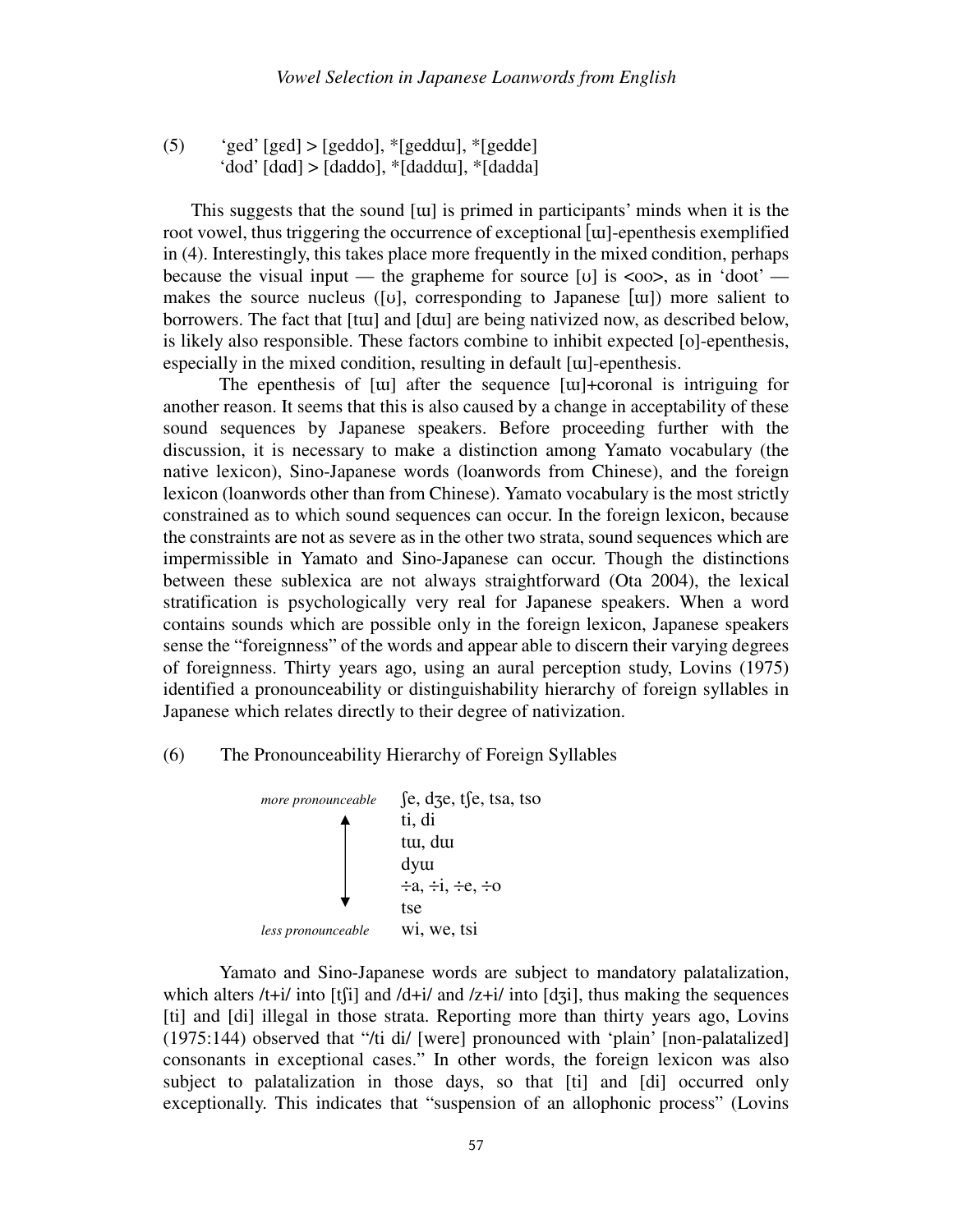(5)  $\text{gcd}$  [ged] > [geddo],  $\text{*}$ [gedd $\text{u}$ ],  $\text{*}$ [gedde] 'dod' [dɑd] > [daddo], \*[daddɯ], \*[dadda]

This suggests that the sound [ɯ] is primed in participants' minds when it is the root vowel, thus triggering the occurrence of exceptional [ɯ]-epenthesis exemplified in (4). Interestingly, this takes place more frequently in the mixed condition, perhaps because the visual input — the grapheme for source [v] is  $\langle \cos \rangle$ , as in 'doot' makes the source nucleus ([ʊ], corresponding to Japanese [ɯ]) more salient to borrowers. The fact that [tɯ] and [dɯ] are being nativized now, as described below, is likely also responsible. These factors combine to inhibit expected [o]-epenthesis, especially in the mixed condition, resulting in default [ɯ]-epenthesis.

 The epenthesis of [ɯ] after the sequence [ɯ]+coronal is intriguing for another reason. It seems that this is also caused by a change in acceptability of these sound sequences by Japanese speakers. Before proceeding further with the discussion, it is necessary to make a distinction among Yamato vocabulary (the native lexicon), Sino-Japanese words (loanwords from Chinese), and the foreign lexicon (loanwords other than from Chinese). Yamato vocabulary is the most strictly constrained as to which sound sequences can occur. In the foreign lexicon, because the constraints are not as severe as in the other two strata, sound sequences which are impermissible in Yamato and Sino-Japanese can occur. Though the distinctions between these sublexica are not always straightforward (Ota 2004), the lexical stratification is psychologically very real for Japanese speakers. When a word contains sounds which are possible only in the foreign lexicon, Japanese speakers sense the "foreignness" of the words and appear able to discern their varying degrees of foreignness. Thirty years ago, using an aural perception study, Lovins (1975) identified a pronounceability or distinguishability hierarchy of foreign syllables in Japanese which relates directly to their degree of nativization.

#### (6) The Pronounceability Hierarchy of Foreign Syllables



 Yamato and Sino-Japanese words are subject to mandatory palatalization, which alters  $/t+i/$  into [t[i] and  $/d+i/$  and  $/z+i/$  into [dʒi], thus making the sequences [ti] and [di] illegal in those strata. Reporting more than thirty years ago, Lovins (1975:144) observed that "/ti di/ [were] pronounced with 'plain' [non-palatalized] consonants in exceptional cases." In other words, the foreign lexicon was also subject to palatalization in those days, so that [ti] and [di] occurred only exceptionally. This indicates that "suspension of an allophonic process" (Lovins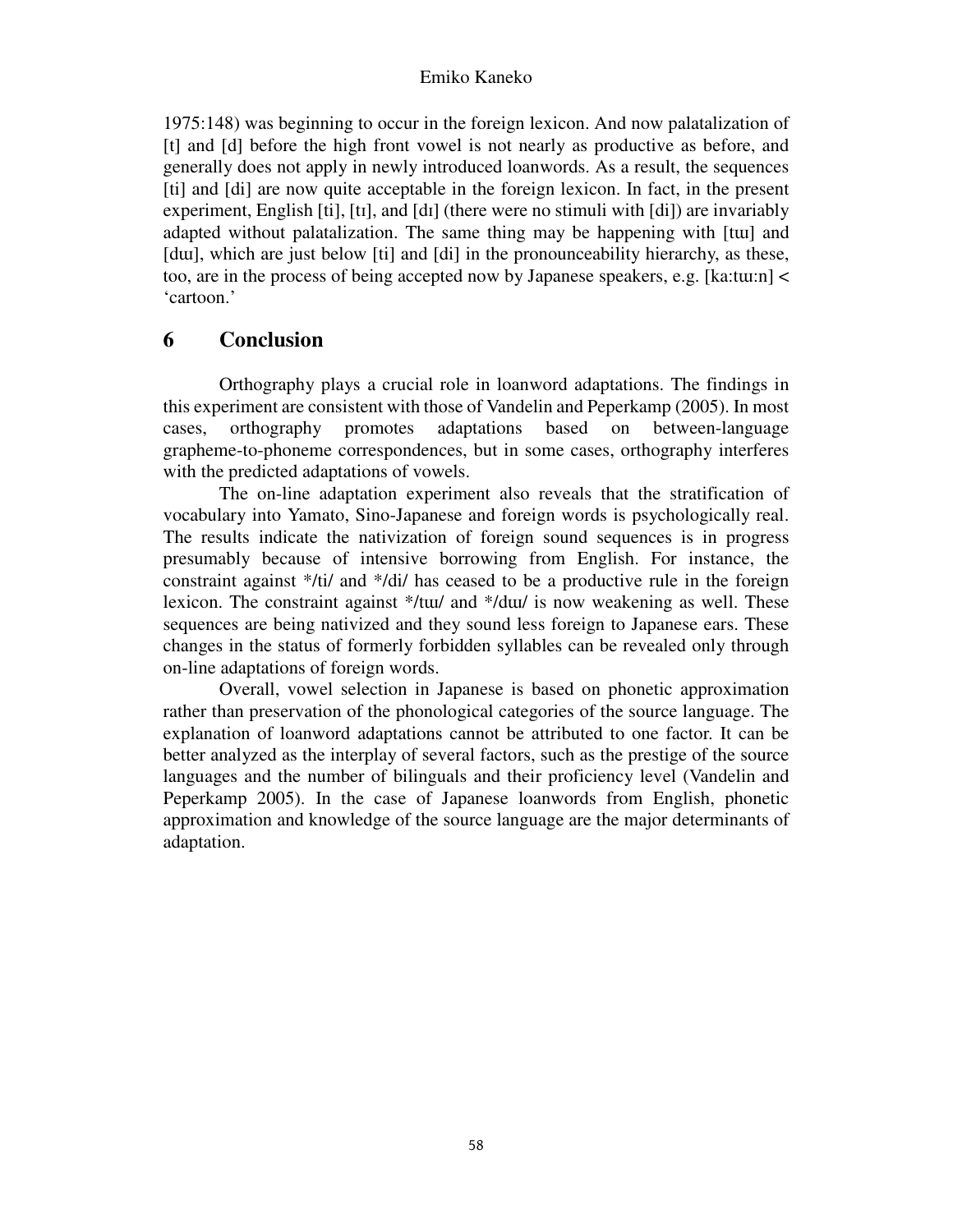1975:148) was beginning to occur in the foreign lexicon. And now palatalization of [t] and [d] before the high front vowel is not nearly as productive as before, and generally does not apply in newly introduced loanwords. As a result, the sequences [ti] and [di] are now quite acceptable in the foreign lexicon. In fact, in the present experiment, English  $[t]$ ,  $[t]$ , and  $[d]$  (there were no stimuli with  $[d]$ ) are invariably adapted without palatalization. The same thing may be happening with [tɯ] and [dui], which are just below [ti] and [di] in the pronounceability hierarchy, as these, too, are in the process of being accepted now by Japanese speakers, e.g. [ka:tɯ:n] < 'cartoon.'

## **6 Conclusion**

 Orthography plays a crucial role in loanword adaptations. The findings in this experiment are consistent with those of Vandelin and Peperkamp (2005). In most cases, orthography promotes adaptations based on between-language grapheme-to-phoneme correspondences, but in some cases, orthography interferes with the predicted adaptations of vowels.

 The on-line adaptation experiment also reveals that the stratification of vocabulary into Yamato, Sino-Japanese and foreign words is psychologically real. The results indicate the nativization of foreign sound sequences is in progress presumably because of intensive borrowing from English. For instance, the constraint against \*/ti/ and \*/di/ has ceased to be a productive rule in the foreign lexicon. The constraint against \*/tɯ/ and \*/dɯ/ is now weakening as well. These sequences are being nativized and they sound less foreign to Japanese ears. These changes in the status of formerly forbidden syllables can be revealed only through on-line adaptations of foreign words.

 Overall, vowel selection in Japanese is based on phonetic approximation rather than preservation of the phonological categories of the source language. The explanation of loanword adaptations cannot be attributed to one factor. It can be better analyzed as the interplay of several factors, such as the prestige of the source languages and the number of bilinguals and their proficiency level (Vandelin and Peperkamp 2005). In the case of Japanese loanwords from English, phonetic approximation and knowledge of the source language are the major determinants of adaptation.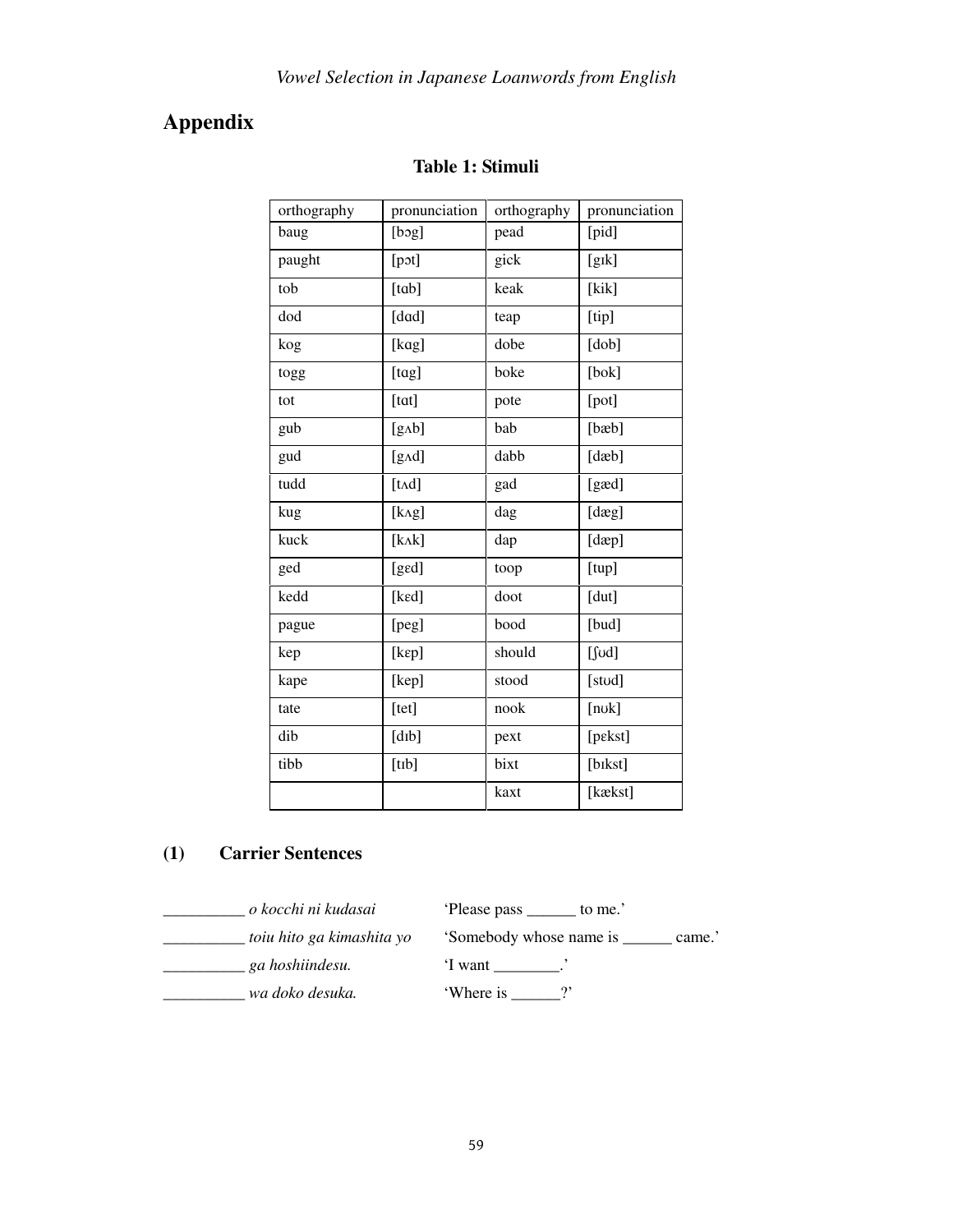# **Appendix**

| orthography | pronunciation          |        | pronunciation |  |
|-------------|------------------------|--------|---------------|--|
| baug        | [bog]                  | pead   | [pid]         |  |
| paught      | [pot]                  | gick   | [gɪk]         |  |
| tob         | [tab]                  | keak   | [kik]         |  |
| dod         | [dad]                  | teap   | [tip]         |  |
| kog         | [kag]                  | dobe   | [dob]         |  |
| togg        | [tag]                  | boke   | [bok]         |  |
| tot         | [tat]                  | pote   | [pot]         |  |
| gub         | [gAb]                  | bab    | [bæb]         |  |
| gud         | [gAd]                  | dabb   | [dæb]         |  |
| tudd        | [t <sub>A</sub> d]     | gad    | [gæd]         |  |
| kug         | [kAg]                  | dag    | [dæg]         |  |
| kuck        | $[k\Lambda k]$         | dap    | [dæp]         |  |
| ged         | [ged]                  | toop   | [tup]         |  |
| kedd        | [ked]                  | doot   | [dut]         |  |
| pague       | [peg]                  | bood   | [bud]         |  |
| kep         | [kep]                  | should | $[$ fod]      |  |
| kape        | [kep]                  | stood  | [stod]        |  |
| tate        | [tet]                  | nook   | [nok]         |  |
| dib         | $[d$ <sub>I</sub> $b]$ | pext   | [pɛkst]       |  |
| tibb        | [tib]                  | bixt   | [bikst]       |  |
|             |                        | kaxt   | [kækst]       |  |

## **Table 1: Stimuli**

## **(1) Carrier Sentences**

\_\_\_\_\_\_\_\_\_*\_ o kocchi ni kudasai* 'Please pass \_\_\_\_\_\_ to me.' \_\_\_\_\_\_\_\_\_*\_ ga hoshiindesu.* 'I want \_\_\_\_\_\_\_\_.'

\_\_\_\_\_\_\_\_\_\_ *toiu hito ga kimashita yo* 'Somebody whose name is \_\_\_\_\_\_ came.'

\_\_\_\_\_\_\_\_\_\_ *wa doko desuka.* 'Where is \_\_\_\_\_\_?'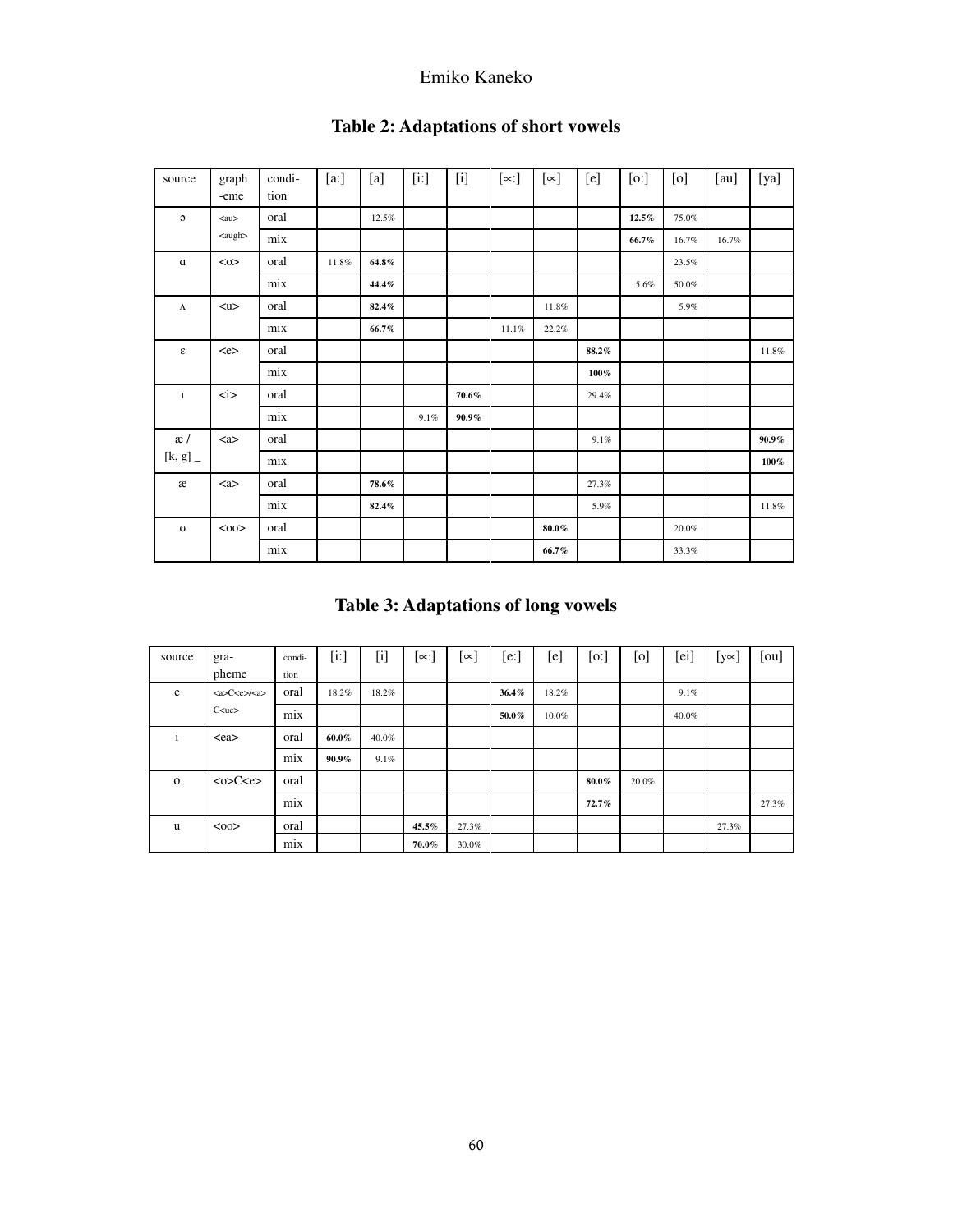| source                  | graph<br>-eme       | condi-<br>tion | [a:]  | [a]      | [i!] | $[1]$    | $[\infty:$ | [∝]      | [e]     | [0:]     | [0]   | [au]  | [ya]     |
|-------------------------|---------------------|----------------|-------|----------|------|----------|------------|----------|---------|----------|-------|-------|----------|
| $\circ$                 | $\alpha$ u>         | oral           |       | 12.5%    |      |          |            |          |         | $12.5\%$ | 75.0% |       |          |
|                         | <augh></augh>       | mix            |       |          |      |          |            |          |         | 66.7%    | 16.7% | 16.7% |          |
| $\alpha$                | $<\!\!\infty$       | oral           | 11.8% | $64.8\%$ |      |          |            |          |         |          | 23.5% |       |          |
|                         |                     | mix            |       | 44.4%    |      |          |            |          |         | 5.6%     | 50.0% |       |          |
| $\Lambda$               | < u>                | oral           |       | 82.4%    |      |          |            | 11.8%    |         |          | 5.9%  |       |          |
|                         |                     | mix            |       | 66.7%    |      |          | 11.1%      | 22.2%    |         |          |       |       |          |
| $\boldsymbol{\epsilon}$ | <e></e>             | oral           |       |          |      |          |            |          | 88.2%   |          |       |       | 11.8%    |
|                         |                     | mix            |       |          |      |          |            |          | $100\%$ |          |       |       |          |
| 1                       | $\langle i \rangle$ | oral           |       |          |      | $70.6\%$ |            |          | 29.4%   |          |       |       |          |
|                         |                     | mix            |       |          | 9.1% | $90.9\%$ |            |          |         |          |       |       |          |
| æ/                      | <a></a>             | oral           |       |          |      |          |            |          | 9.1%    |          |       |       | $90.9\%$ |
| [k, g]                  |                     | mix            |       |          |      |          |            |          |         |          |       |       | $100\%$  |
| æ                       | <a></a>             | oral           |       | 78.6%    |      |          |            |          | 27.3%   |          |       |       |          |
|                         |                     | mix            |       | 82.4%    |      |          |            |          | 5.9%    |          |       |       | 11.8%    |
| $\upsilon$              | <00                 | oral           |       |          |      |          |            | $80.0\%$ |         |          | 20.0% |       |          |
|                         |                     | mix            |       |          |      |          |            | 66.7%    |         |          | 33.3% |       |          |

### **Table 2: Adaptations of short vowels**

# **Table 3: Adaptations of long vowels**

| source       | gra-                    | condi- | $[1:]$   | $[$   | [∝:]  | [∝]   | [e:]  | [e]   | [o:]     | [0]   | [ei]  | $[y \infty]$ | [ou]  |
|--------------|-------------------------|--------|----------|-------|-------|-------|-------|-------|----------|-------|-------|--------------|-------|
|              | pheme                   | tion   |          |       |       |       |       |       |          |       |       |              |       |
| e            | <a>C<e>/<a></a></e></a> | oral   | 18.2%    | 18.2% |       |       | 36.4% | 18.2% |          |       | 9.1%  |              |       |
|              | C <sub>u</sub>          | mix    |          |       |       |       | 50.0% | 10.0% |          |       | 40.0% |              |       |
| $\mathbf{i}$ | $<$ ea $>$              | oral   | 60.0%    | 40.0% |       |       |       |       |          |       |       |              |       |
|              |                         | mix    | $90.9\%$ | 9.1%  |       |       |       |       |          |       |       |              |       |
| $\mathbf{o}$ | <0>C <e></e>            | oral   |          |       |       |       |       |       | $80.0\%$ | 20.0% |       |              |       |
|              |                         | mix    |          |       |       |       |       |       | 72.7%    |       |       |              | 27.3% |
| u            | $00$                    | oral   |          |       | 45.5% | 27.3% |       |       |          |       |       | 27.3%        |       |
|              |                         | mix    |          |       | 70.0% | 30.0% |       |       |          |       |       |              |       |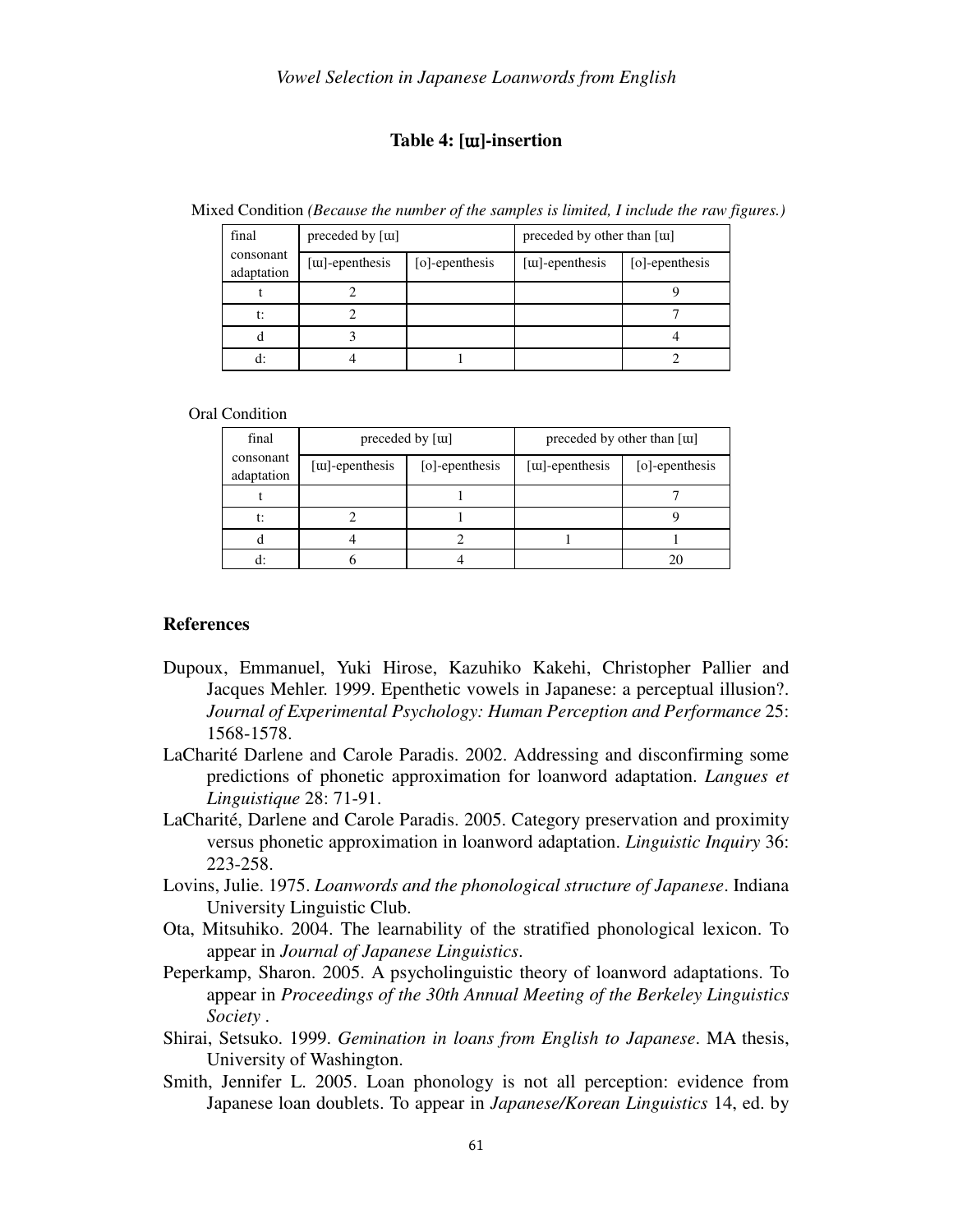#### **Table 4: [**ɯ**]-insertion**

Mixed Condition *(Because the number of the samples is limited, I include the raw figures.)*

| final                   | preceded by [tu]        |                | preceded by other than [\mlessl] |                |  |  |
|-------------------------|-------------------------|----------------|----------------------------------|----------------|--|--|
| consonant<br>adaptation | [ <i>u</i> ]-epenthesis | [o]-epenthesis | [ <i>u</i> ]-epenthesis          | [o]-epenthesis |  |  |
|                         |                         |                |                                  |                |  |  |
| t:                      |                         |                |                                  |                |  |  |
|                         |                         |                |                                  |                |  |  |
|                         |                         |                |                                  |                |  |  |

Oral Condition

| final                   |                         | preceded by [tu] | preceded by other than [tu] |                |  |  |
|-------------------------|-------------------------|------------------|-----------------------------|----------------|--|--|
| consonant<br>adaptation | [ <i>u</i> ]-epenthesis | [o]-epenthesis   | [ <i>u</i> ]-epenthesis     | [o]-epenthesis |  |  |
|                         |                         |                  |                             |                |  |  |
| t:                      |                         |                  |                             |                |  |  |
|                         |                         |                  |                             |                |  |  |
|                         |                         |                  |                             |                |  |  |

#### **References**

- Dupoux, Emmanuel, Yuki Hirose, Kazuhiko Kakehi, Christopher Pallier and Jacques Mehler. 1999. Epenthetic vowels in Japanese: a perceptual illusion?. *Journal of Experimental Psychology: Human Perception and Performance* 25: 1568-1578.
- LaCharité Darlene and Carole Paradis. 2002. Addressing and disconfirming some predictions of phonetic approximation for loanword adaptation. *Langues et Linguistique* 28: 71-91.
- LaCharité, Darlene and Carole Paradis. 2005. Category preservation and proximity versus phonetic approximation in loanword adaptation. *Linguistic Inquiry* 36: 223-258.
- Lovins, Julie. 1975. *Loanwords and the phonological structure of Japanese*. Indiana University Linguistic Club.
- Ota, Mitsuhiko. 2004. The learnability of the stratified phonological lexicon. To appear in *Journal of Japanese Linguistics*.
- Peperkamp, Sharon. 2005. A psycholinguistic theory of loanword adaptations. To appear in *Proceedings of the 30th Annual Meeting of the Berkeley Linguistics Society* .
- Shirai, Setsuko. 1999. *Gemination in loans from English to Japanese*. MA thesis, University of Washington.
- Smith, Jennifer L. 2005. Loan phonology is not all perception: evidence from Japanese loan doublets. To appear in *Japanese/Korean Linguistics* 14, ed. by